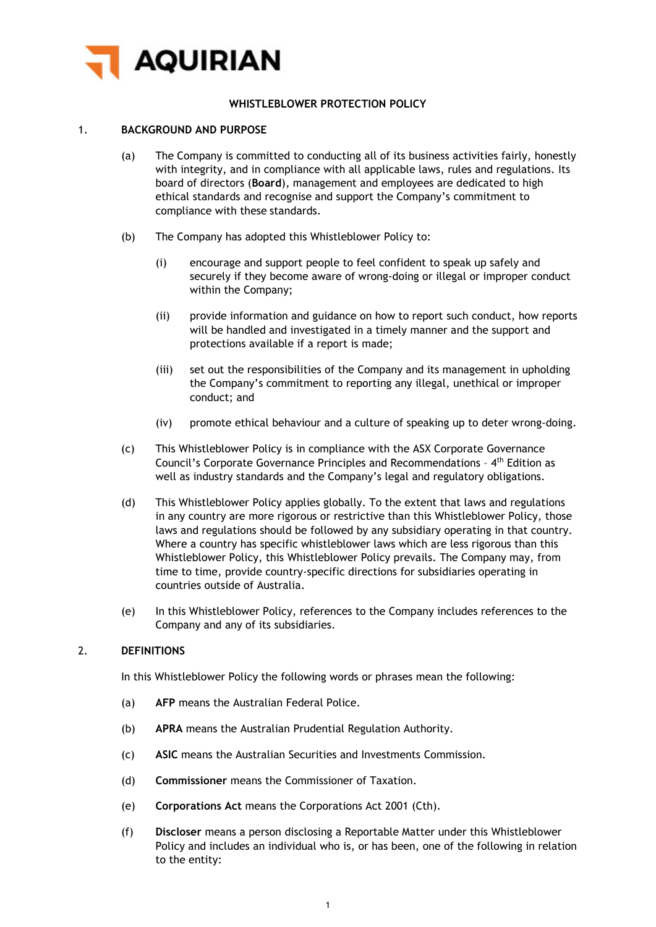

# **WHISTLEBLOWER PROTECTION POLICY**

### 1. **BACKGROUND AND PURPOSE**

- (a) The Company is committed to conducting all of its business activities fairly, honestly with integrity, and in compliance with all applicable laws, rules and regulations. Its board of directors (**Board**), management and employees are dedicated to high ethical standards and recognise and support the Company's commitment to compliance with these standards.
- (b) The Company has adopted this Whistleblower Policy to:
	- (i) encourage and support people to feel confident to speak up safely and securely if they become aware of wrong-doing or illegal or improper conduct within the Company;
	- (ii) provide information and guidance on how to report such conduct, how reports will be handled and investigated in a timely manner and the support and protections available if a report is made;
	- (iii) set out the responsibilities of the Company and its management in upholding the Company's commitment to reporting any illegal, unethical or improper conduct; and
	- (iv) promote ethical behaviour and a culture of speaking up to deter wrong-doing.
- (c) This Whistleblower Policy is in compliance with the ASX Corporate Governance Council's Corporate Governance Principles and Recommendations – 4th Edition as well as industry standards and the Company's legal and regulatory obligations.
- (d) This Whistleblower Policy applies globally. To the extent that laws and regulations in any country are more rigorous or restrictive than this Whistleblower Policy, those laws and regulations should be followed by any subsidiary operating in that country. Where a country has specific whistleblower laws which are less rigorous than this Whistleblower Policy, this Whistleblower Policy prevails. The Company may, from time to time, provide country-specific directions for subsidiaries operating in countries outside of Australia.
- (e) In this Whistleblower Policy, references to the Company includes references to the Company and any of its subsidiaries.

#### 2. **DEFINITIONS**

In this Whistleblower Policy the following words or phrases mean the following:

- (a) **AFP** means the Australian Federal Police.
- (b) **APRA** means the Australian Prudential Regulation Authority.
- (c) **ASIC** means the Australian Securities and Investments Commission.
- (d) **Commissioner** means the Commissioner of Taxation.
- (e) **Corporations Act** means the Corporations Act 2001 (Cth).
- (f) **Discloser** means a person disclosing a Reportable Matter under this Whistleblower Policy and includes an individual who is, or has been, one of the following in relation to the entity: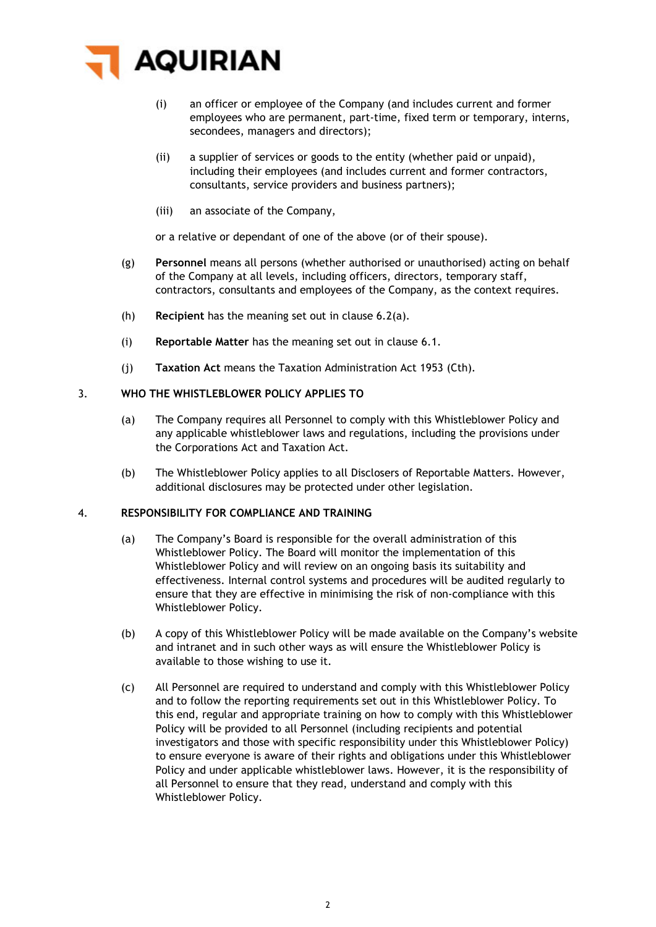

- (i) an officer or employee of the Company (and includes current and former employees who are permanent, part-time, fixed term or temporary, interns, secondees, managers and directors);
- (ii) a supplier of services or goods to the entity (whether paid or unpaid), including their employees (and includes current and former contractors, consultants, service providers and business partners);
- (iii) an associate of the Company,

or a relative or dependant of one of the above (or of their spouse).

- (g) **Personnel** means all persons (whether authorised or unauthorised) acting on behalf of the Company at all levels, including officers, directors, temporary staff, contractors, consultants and employees of the Company, as the context requires.
- (h) **Recipient** has the meaning set out in clause [6.2\(a\).](#page-3-0)
- (i) **Reportable Matter** has the meaning set out in clause [6.1.](#page-2-0)
- (j) **Taxation Act** means the Taxation Administration Act 1953 (Cth).

### 3. **WHO THE WHISTLEBLOWER POLICY APPLIES TO**

- (a) The Company requires all Personnel to comply with this Whistleblower Policy and any applicable whistleblower laws and regulations, including the provisions under the Corporations Act and Taxation Act.
- (b) The Whistleblower Policy applies to all Disclosers of Reportable Matters. However, additional disclosures may be protected under other legislation.

#### 4. **RESPONSIBILITY FOR COMPLIANCE AND TRAINING**

- (a) The Company's Board is responsible for the overall administration of this Whistleblower Policy. The Board will monitor the implementation of this Whistleblower Policy and will review on an ongoing basis its suitability and effectiveness. Internal control systems and procedures will be audited regularly to ensure that they are effective in minimising the risk of non-compliance with this Whistleblower Policy.
- (b) A copy of this Whistleblower Policy will be made available on the Company's website and intranet and in such other ways as will ensure the Whistleblower Policy is available to those wishing to use it.
- (c) All Personnel are required to understand and comply with this Whistleblower Policy and to follow the reporting requirements set out in this Whistleblower Policy. To this end, regular and appropriate training on how to comply with this Whistleblower Policy will be provided to all Personnel (including recipients and potential investigators and those with specific responsibility under this Whistleblower Policy) to ensure everyone is aware of their rights and obligations under this Whistleblower Policy and under applicable whistleblower laws. However, it is the responsibility of all Personnel to ensure that they read, understand and comply with this Whistleblower Policy.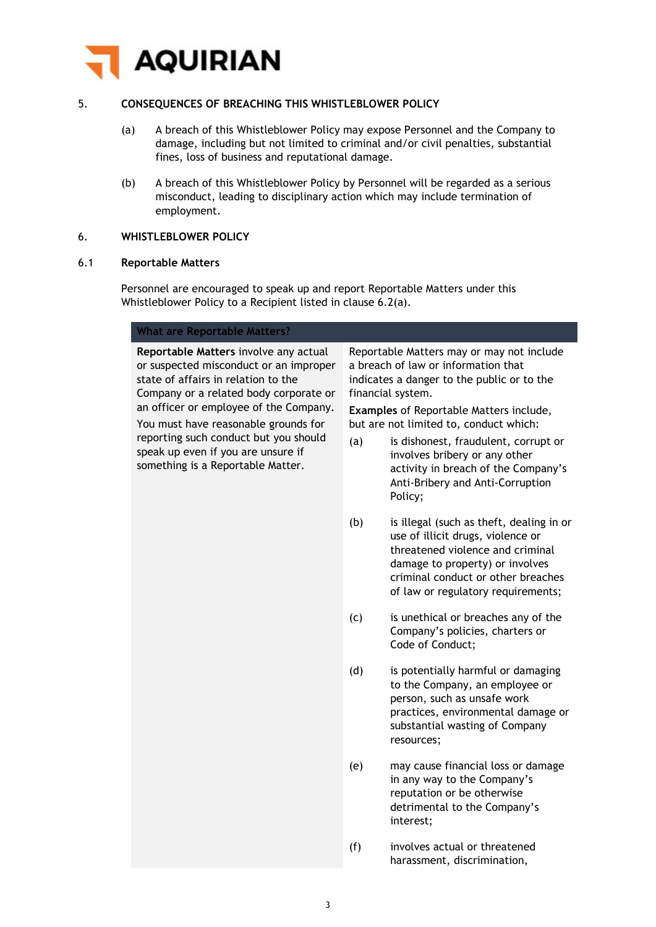

# 5. **CONSEQUENCES OF BREACHING THIS WHISTLEBLOWER POLICY**

- (a) A breach of this Whistleblower Policy may expose Personnel and the Company to damage, including but not limited to criminal and/or civil penalties, substantial fines, loss of business and reputational damage.
- (b) A breach of this Whistleblower Policy by Personnel will be regarded as a serious misconduct, leading to disciplinary action which may include termination of employment.

# 6. **WHISTLEBLOWER POLICY**

#### <span id="page-2-0"></span>6.1 **Reportable Matters**

Personnel are encouraged to speak up and report Reportable Matters under this Whistleblower Policy to a Recipient listed in clause [6.2\(a\).](#page-3-0)

| <b>What are Reportable Matters?</b>                                                                                                                                                                        |                                                                                           |
|------------------------------------------------------------------------------------------------------------------------------------------------------------------------------------------------------------|-------------------------------------------------------------------------------------------|
| Reportable Matters involve any actual<br>or suspected misconduct or an improper<br>state of affairs in relation to the<br>Company or a related body corporate or<br>an officer or employee of the Company. | Reportab<br>a breach<br>indicates<br>financial<br><b>Example</b><br>but are r<br>(a)<br>İ |
| You must have reasonable grounds for<br>reporting such conduct but you should<br>speak up even if you are unsure if<br>something is a Reportable Matter.                                                   |                                                                                           |

Ne Matters may or may not include of law or information that a danger to the public or to the system.

**s** of Reportable Matters include, not limited to, conduct which:

- is dishonest, fraudulent, corrupt or involves bribery or any other activity in breach of the Company's Anti-Bribery and Anti-Corruption Policy;
- (b) is illegal (such as theft, dealing in or use of illicit drugs, violence or threatened violence and criminal damage to property) or involves criminal conduct or other breaches of law or regulatory requirements;
- (c) is unethical or breaches any of the Company's policies, charters or Code of Conduct;
- (d) is potentially harmful or damaging to the Company, an employee or person, such as unsafe work practices, environmental damage or substantial wasting of Company resources;
- (e) may cause financial loss or damage in any way to the Company's reputation or be otherwise detrimental to the Company's interest;
- (f) involves actual or threatened harassment, discrimination,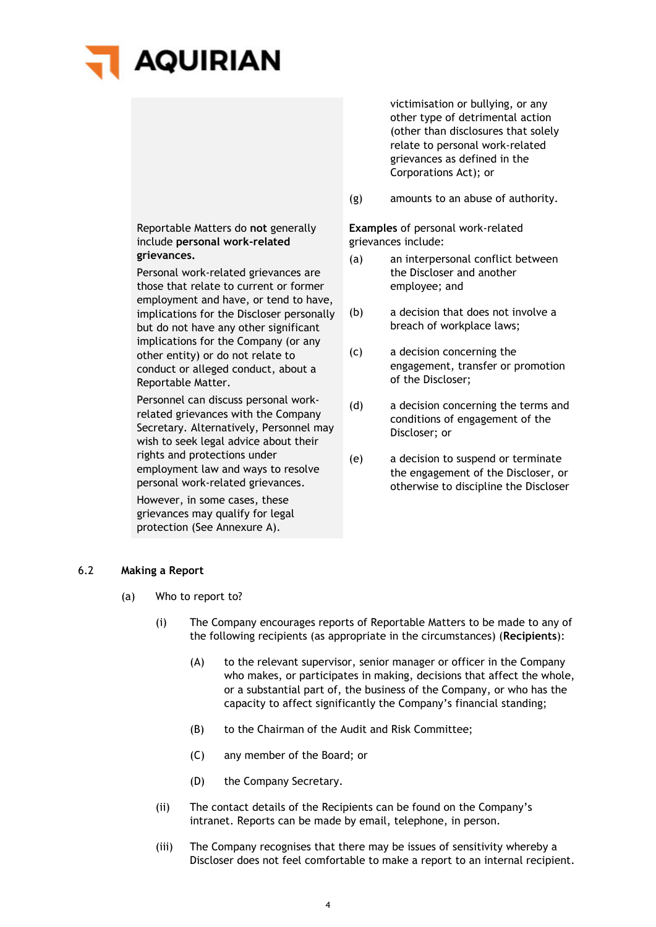# **AQUIRIAN**

Reportable Matters do **not** generally include **personal work-related grievances.**

Personal work-related grievances are those that relate to current or former employment and have, or tend to have, implications for the Discloser personally but do not have any other significant implications for the Company (or any other entity) or do not relate to conduct or alleged conduct, about a Reportable Matter.

Personnel can discuss personal workrelated grievances with the Company Secretary. Alternatively, Personnel may wish to seek legal advice about their rights and protections under employment law and ways to resolve personal work-related grievances.

However, in some cases, these grievances may qualify for legal protection (See [Annexure A\)](#page-9-0).

victimisation or bullying, or any other type of detrimental action (other than disclosures that solely relate to personal work-related grievances as defined in the Corporations Act); or

(g) amounts to an abuse of authority.

**Examples** of personal work-related grievances include:

- (a) an interpersonal conflict between the Discloser and another employee; and
- (b) a decision that does not involve a breach of workplace laws;
- (c) a decision concerning the engagement, transfer or promotion of the Discloser;
- (d) a decision concerning the terms and conditions of engagement of the Discloser; or
- (e) a decision to suspend or terminate the engagement of the Discloser, or otherwise to discipline the Discloser

# <span id="page-3-1"></span><span id="page-3-0"></span>6.2 **Making a Report**

- (a) Who to report to?
	- (i) The Company encourages reports of Reportable Matters to be made to any of the following recipients (as appropriate in the circumstances) (**Recipients**):
		- (A) to the relevant supervisor, senior manager or officer in the Company who makes, or participates in making, decisions that affect the whole, or a substantial part of, the business of the Company, or who has the capacity to affect significantly the Company's financial standing;
		- (B) to the Chairman of the Audit and Risk Committee;
		- (C) any member of the Board; or
		- (D) the Company Secretary.
	- (ii) The contact details of the Recipients can be found on the Company's intranet. Reports can be made by email, telephone, in person.
	- (iii) The Company recognises that there may be issues of sensitivity whereby a Discloser does not feel comfortable to make a report to an internal recipient.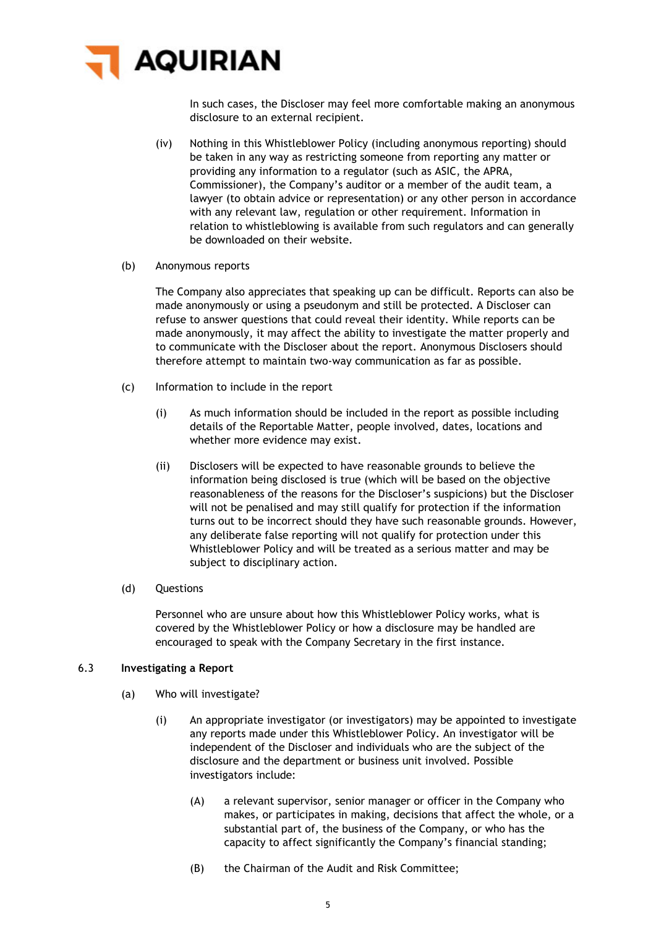

In such cases, the Discloser may feel more comfortable making an anonymous disclosure to an external recipient.

- (iv) Nothing in this Whistleblower Policy (including anonymous reporting) should be taken in any way as restricting someone from reporting any matter or providing any information to a regulator (such as ASIC, the APRA, Commissioner), the Company's auditor or a member of the audit team, a lawyer (to obtain advice or representation) or any other person in accordance with any relevant law, regulation or other requirement. Information in relation to whistleblowing is available from such regulators and can generally be downloaded on their website.
- (b) Anonymous reports

The Company also appreciates that speaking up can be difficult. Reports can also be made anonymously or using a pseudonym and still be protected. A Discloser can refuse to answer questions that could reveal their identity. While reports can be made anonymously, it may affect the ability to investigate the matter properly and to communicate with the Discloser about the report. Anonymous Disclosers should therefore attempt to maintain two-way communication as far as possible.

- (c) Information to include in the report
	- (i) As much information should be included in the report as possible including details of the Reportable Matter, people involved, dates, locations and whether more evidence may exist.
	- (ii) Disclosers will be expected to have reasonable grounds to believe the information being disclosed is true (which will be based on the objective reasonableness of the reasons for the Discloser's suspicions) but the Discloser will not be penalised and may still qualify for protection if the information turns out to be incorrect should they have such reasonable grounds. However, any deliberate false reporting will not qualify for protection under this Whistleblower Policy and will be treated as a serious matter and may be subject to disciplinary action.
- (d) Questions

Personnel who are unsure about how this Whistleblower Policy works, what is covered by the Whistleblower Policy or how a disclosure may be handled are encouraged to speak with the Company Secretary in the first instance.

# 6.3 **Investigating a Report**

- (a) Who will investigate?
	- (i) An appropriate investigator (or investigators) may be appointed to investigate any reports made under this Whistleblower Policy. An investigator will be independent of the Discloser and individuals who are the subject of the disclosure and the department or business unit involved. Possible investigators include:
		- (A) a relevant supervisor, senior manager or officer in the Company who makes, or participates in making, decisions that affect the whole, or a substantial part of, the business of the Company, or who has the capacity to affect significantly the Company's financial standing;
		- (B) the Chairman of the Audit and Risk Committee;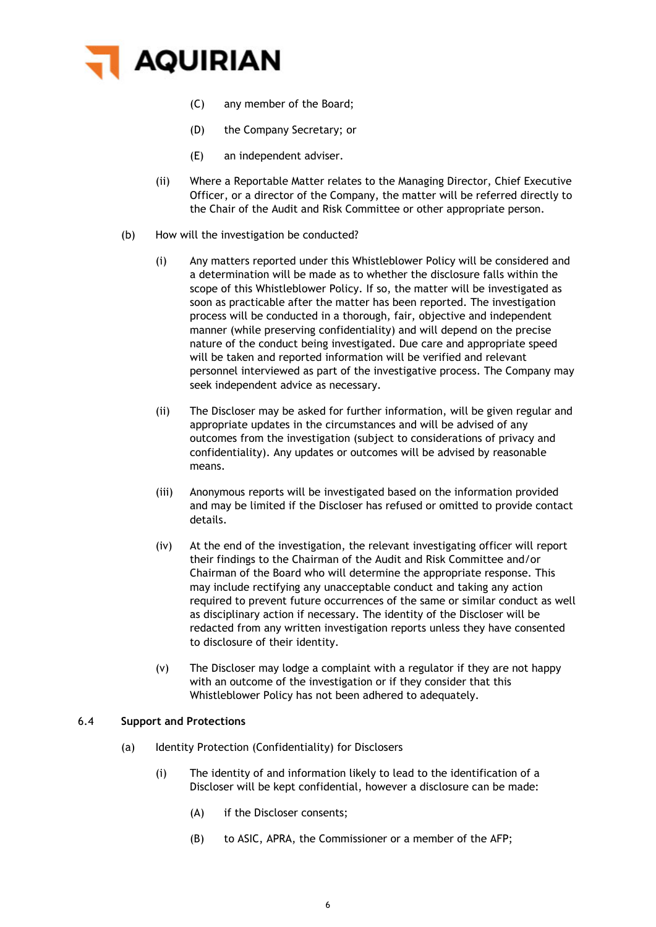

- (C) any member of the Board;
- (D) the Company Secretary; or
- (E) an independent adviser.
- (ii) Where a Reportable Matter relates to the Managing Director, Chief Executive Officer, or a director of the Company, the matter will be referred directly to the Chair of the Audit and Risk Committee or other appropriate person.
- (b) How will the investigation be conducted?
	- (i) Any matters reported under this Whistleblower Policy will be considered and a determination will be made as to whether the disclosure falls within the scope of this Whistleblower Policy. If so, the matter will be investigated as soon as practicable after the matter has been reported. The investigation process will be conducted in a thorough, fair, objective and independent manner (while preserving confidentiality) and will depend on the precise nature of the conduct being investigated. Due care and appropriate speed will be taken and reported information will be verified and relevant personnel interviewed as part of the investigative process. The Company may seek independent advice as necessary.
	- (ii) The Discloser may be asked for further information, will be given regular and appropriate updates in the circumstances and will be advised of any outcomes from the investigation (subject to considerations of privacy and confidentiality). Any updates or outcomes will be advised by reasonable means.
	- (iii) Anonymous reports will be investigated based on the information provided and may be limited if the Discloser has refused or omitted to provide contact details.
	- (iv) At the end of the investigation, the relevant investigating officer will report their findings to the Chairman of the Audit and Risk Committee and/or Chairman of the Board who will determine the appropriate response. This may include rectifying any unacceptable conduct and taking any action required to prevent future occurrences of the same or similar conduct as well as disciplinary action if necessary. The identity of the Discloser will be redacted from any written investigation reports unless they have consented to disclosure of their identity.
	- (v) The Discloser may lodge a complaint with a regulator if they are not happy with an outcome of the investigation or if they consider that this Whistleblower Policy has not been adhered to adequately.

# 6.4 **Support and Protections**

- (a) Identity Protection (Confidentiality) for Disclosers
	- (i) The identity of and information likely to lead to the identification of a Discloser will be kept confidential, however a disclosure can be made:
		- (A) if the Discloser consents;
		- (B) to ASIC, APRA, the Commissioner or a member of the AFP;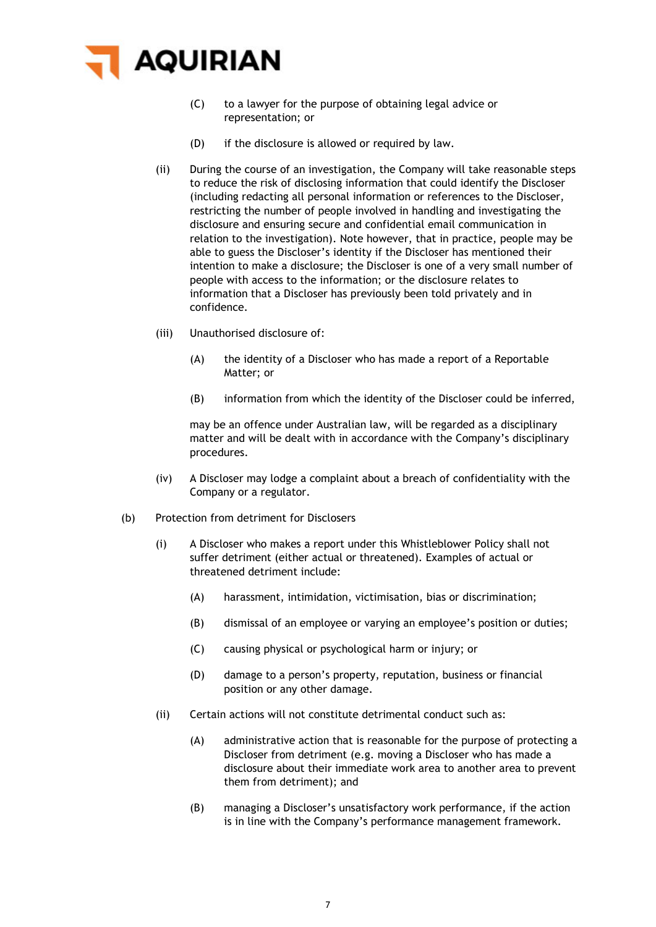

- (C) to a lawyer for the purpose of obtaining legal advice or representation; or
- (D) if the disclosure is allowed or required by law.
- (ii) During the course of an investigation, the Company will take reasonable steps to reduce the risk of disclosing information that could identify the Discloser (including redacting all personal information or references to the Discloser, restricting the number of people involved in handling and investigating the disclosure and ensuring secure and confidential email communication in relation to the investigation). Note however, that in practice, people may be able to guess the Discloser's identity if the Discloser has mentioned their intention to make a disclosure; the Discloser is one of a very small number of people with access to the information; or the disclosure relates to information that a Discloser has previously been told privately and in confidence.
- (iii) Unauthorised disclosure of:
	- (A) the identity of a Discloser who has made a report of a Reportable Matter; or
	- (B) information from which the identity of the Discloser could be inferred,

may be an offence under Australian law, will be regarded as a disciplinary matter and will be dealt with in accordance with the Company's disciplinary procedures.

- (iv) A Discloser may lodge a complaint about a breach of confidentiality with the Company or a regulator.
- (b) Protection from detriment for Disclosers
	- (i) A Discloser who makes a report under this Whistleblower Policy shall not suffer detriment (either actual or threatened). Examples of actual or threatened detriment include:
		- (A) harassment, intimidation, victimisation, bias or discrimination;
		- (B) dismissal of an employee or varying an employee's position or duties;
		- (C) causing physical or psychological harm or injury; or
		- (D) damage to a person's property, reputation, business or financial position or any other damage.
	- (ii) Certain actions will not constitute detrimental conduct such as:
		- (A) administrative action that is reasonable for the purpose of protecting a Discloser from detriment (e.g. moving a Discloser who has made a disclosure about their immediate work area to another area to prevent them from detriment); and
		- (B) managing a Discloser's unsatisfactory work performance, if the action is in line with the Company's performance management framework.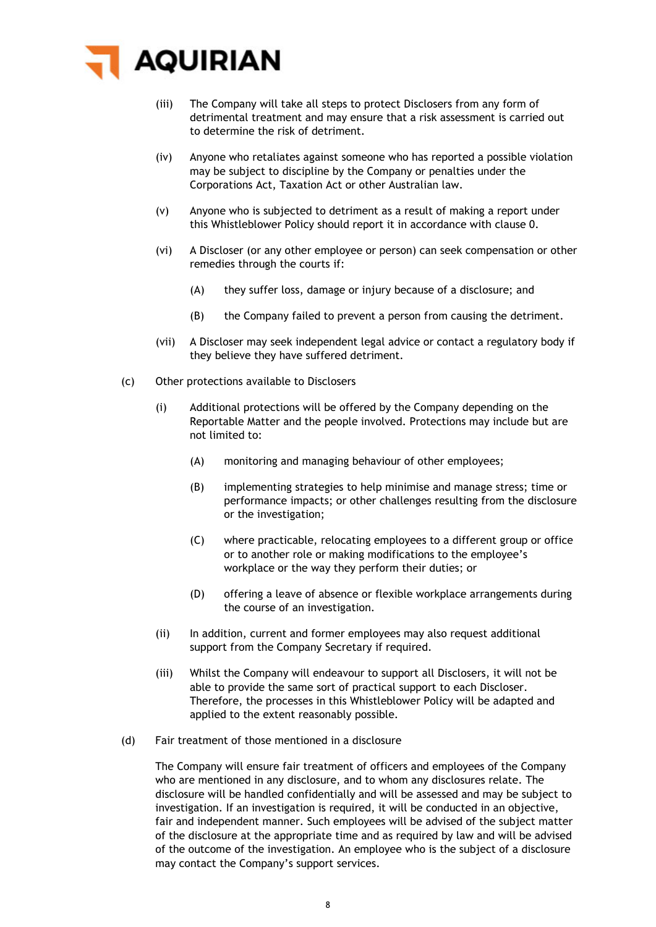

- (iii) The Company will take all steps to protect Disclosers from any form of detrimental treatment and may ensure that a risk assessment is carried out to determine the risk of detriment.
- (iv) Anyone who retaliates against someone who has reported a possible violation may be subject to discipline by the Company or penalties under the Corporations Act, Taxation Act or other Australian law.
- (v) Anyone who is subjected to detriment as a result of making a report under this Whistleblower Policy should report it in accordance with clause [0.](#page-3-1)
- (vi) A Discloser (or any other employee or person) can seek compensation or other remedies through the courts if:
	- (A) they suffer loss, damage or injury because of a disclosure; and
	- (B) the Company failed to prevent a person from causing the detriment.
- (vii) A Discloser may seek independent legal advice or contact a regulatory body if they believe they have suffered detriment.
- (c) Other protections available to Disclosers
	- (i) Additional protections will be offered by the Company depending on the Reportable Matter and the people involved. Protections may include but are not limited to:
		- (A) monitoring and managing behaviour of other employees;
		- (B) implementing strategies to help minimise and manage stress; time or performance impacts; or other challenges resulting from the disclosure or the investigation;
		- (C) where practicable, relocating employees to a different group or office or to another role or making modifications to the employee's workplace or the way they perform their duties; or
		- (D) offering a leave of absence or flexible workplace arrangements during the course of an investigation.
	- (ii) In addition, current and former employees may also request additional support from the Company Secretary if required.
	- (iii) Whilst the Company will endeavour to support all Disclosers, it will not be able to provide the same sort of practical support to each Discloser. Therefore, the processes in this Whistleblower Policy will be adapted and applied to the extent reasonably possible.
- (d) Fair treatment of those mentioned in a disclosure

The Company will ensure fair treatment of officers and employees of the Company who are mentioned in any disclosure, and to whom any disclosures relate. The disclosure will be handled confidentially and will be assessed and may be subject to investigation. If an investigation is required, it will be conducted in an objective, fair and independent manner. Such employees will be advised of the subject matter of the disclosure at the appropriate time and as required by law and will be advised of the outcome of the investigation. An employee who is the subject of a disclosure may contact the Company's support services.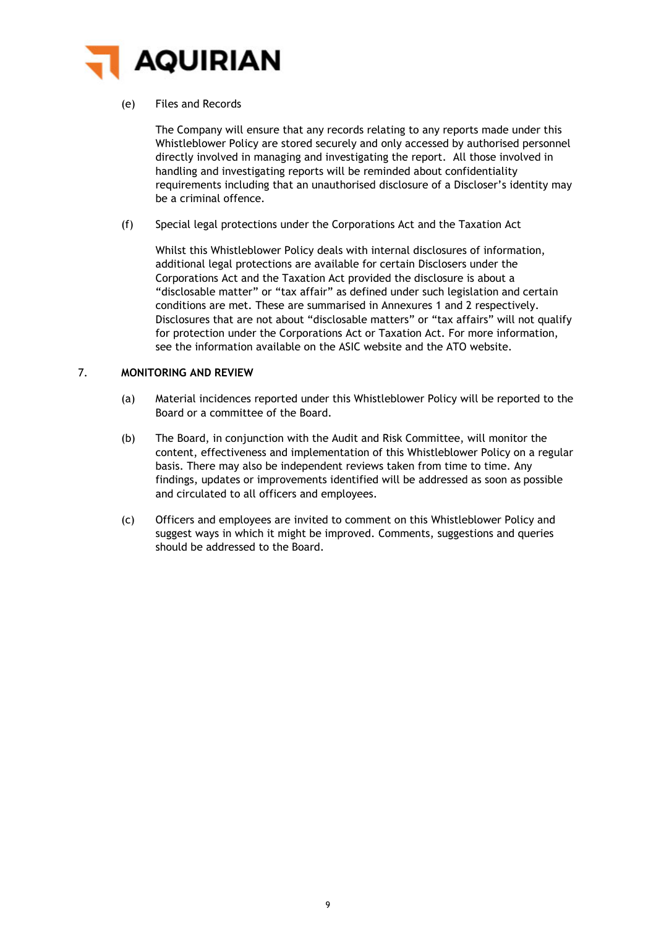

## (e) Files and Records

The Company will ensure that any records relating to any reports made under this Whistleblower Policy are stored securely and only accessed by authorised personnel directly involved in managing and investigating the report. All those involved in handling and investigating reports will be reminded about confidentiality requirements including that an unauthorised disclosure of a Discloser's identity may be a criminal offence.

(f) Special legal protections under the Corporations Act and the Taxation Act

Whilst this Whistleblower Policy deals with internal disclosures of information, additional legal protections are available for certain Disclosers under the Corporations Act and the Taxation Act provided the disclosure is about a "disclosable matter" or "tax affair" as defined under such legislation and certain conditions are met. These are summarised in Annexures 1 and 2 respectively. Disclosures that are not about "disclosable matters" or "tax affairs" will not qualify for protection under the Corporations Act or Taxation Act. For more information, see the information available on the ASIC website and the ATO website.

#### 7. **MONITORING AND REVIEW**

- (a) Material incidences reported under this Whistleblower Policy will be reported to the Board or a committee of the Board.
- (b) The Board, in conjunction with the Audit and Risk Committee, will monitor the content, effectiveness and implementation of this Whistleblower Policy on a regular basis. There may also be independent reviews taken from time to time. Any findings, updates or improvements identified will be addressed as soon as possible and circulated to all officers and employees.
- (c) Officers and employees are invited to comment on this Whistleblower Policy and suggest ways in which it might be improved. Comments, suggestions and queries should be addressed to the Board.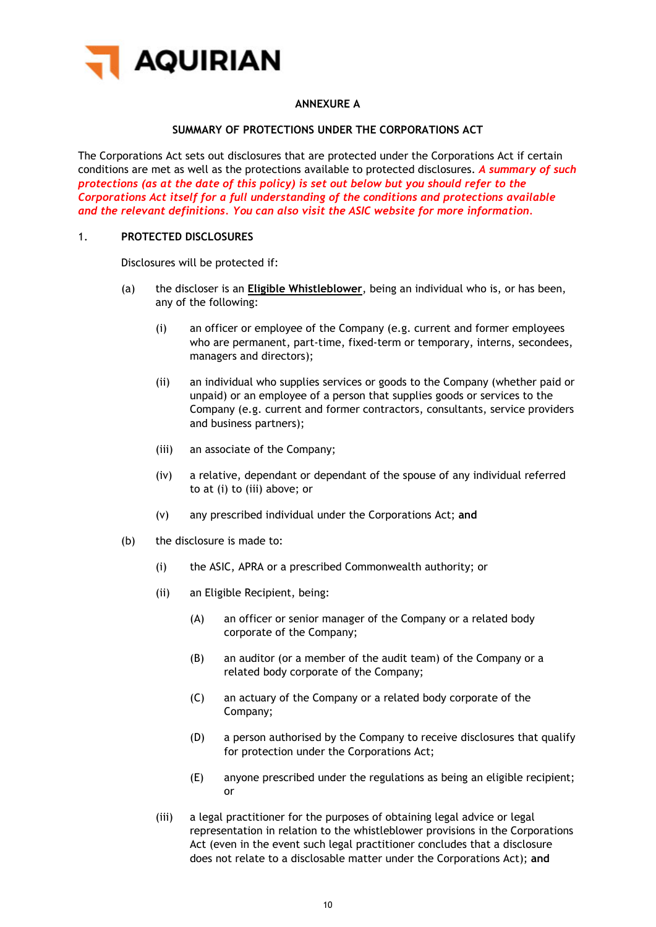

# **ANNEXURE A**

# **SUMMARY OF PROTECTIONS UNDER THE CORPORATIONS ACT**

<span id="page-9-0"></span>The Corporations Act sets out disclosures that are protected under the Corporations Act if certain conditions are met as well as the protections available to protected disclosures. *A summary of such protections (as at the date of this policy) is set out below but you should refer to the Corporations Act itself for a full understanding of the conditions and protections available and the relevant definitions. You can also visit the ASIC website for more information.*

#### 1. **PROTECTED DISCLOSURES**

Disclosures will be protected if:

- <span id="page-9-1"></span>(a) the discloser is an **Eligible Whistleblower**, being an individual who is, or has been, any of the following:
	- (i) an officer or employee of the Company (e.g. current and former employees who are permanent, part-time, fixed-term or temporary, interns, secondees, managers and directors);
	- (ii) an individual who supplies services or goods to the Company (whether paid or unpaid) or an employee of a person that supplies goods or services to the Company (e.g. current and former contractors, consultants, service providers and business partners);
	- (iii) an associate of the Company;
	- (iv) a relative, dependant or dependant of the spouse of any individual referred to at [\(i\)](#page-9-1) to [\(iii\)](#page-9-2) above; or
	- (v) any prescribed individual under the Corporations Act; **and**
- <span id="page-9-2"></span>(b) the disclosure is made to:
	- (i) the ASIC, APRA or a prescribed Commonwealth authority; or
	- (ii) an Eligible Recipient, being:
		- (A) an officer or senior manager of the Company or a related body corporate of the Company;
		- (B) an auditor (or a member of the audit team) of the Company or a related body corporate of the Company;
		- (C) an actuary of the Company or a related body corporate of the Company;
		- (D) a person authorised by the Company to receive disclosures that qualify for protection under the Corporations Act;
		- (E) anyone prescribed under the regulations as being an eligible recipient; or
	- (iii) a legal practitioner for the purposes of obtaining legal advice or legal representation in relation to the whistleblower provisions in the Corporations Act (even in the event such legal practitioner concludes that a disclosure does not relate to a disclosable matter under the Corporations Act); **and**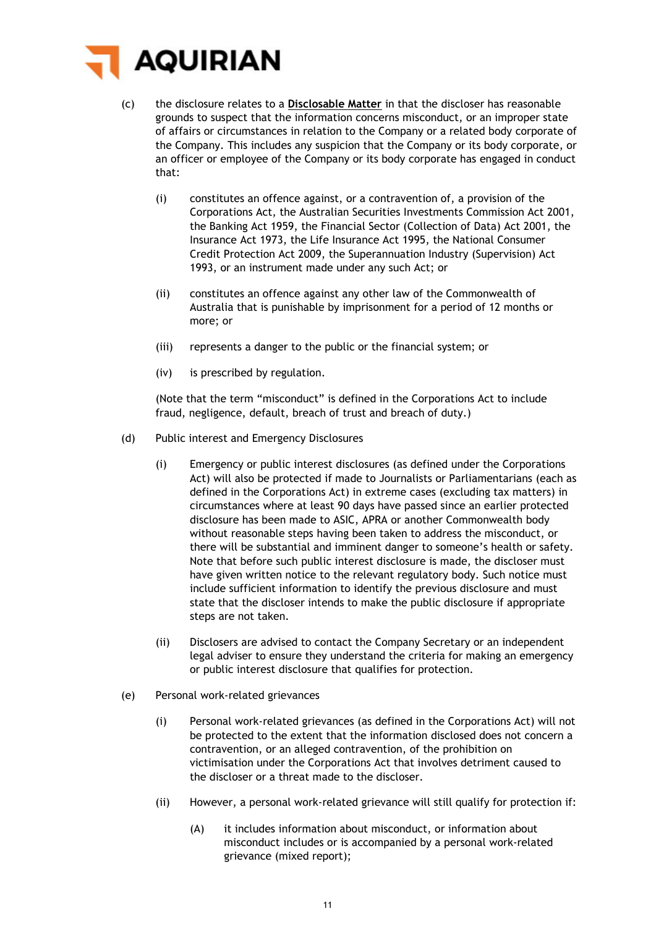

- (c) the disclosure relates to a **Disclosable Matter** in that the discloser has reasonable grounds to suspect that the information concerns misconduct, or an improper state of affairs or circumstances in relation to the Company or a related body corporate of the Company. This includes any suspicion that the Company or its body corporate, or an officer or employee of the Company or its body corporate has engaged in conduct that:
	- (i) constitutes an offence against, or a contravention of, a provision of the Corporations Act, the Australian Securities Investments Commission Act 2001, the Banking Act 1959, the Financial Sector (Collection of Data) Act 2001, the Insurance Act 1973, the Life Insurance Act 1995, the National Consumer Credit Protection Act 2009, the Superannuation Industry (Supervision) Act 1993, or an instrument made under any such Act; or
	- (ii) constitutes an offence against any other law of the Commonwealth of Australia that is punishable by imprisonment for a period of 12 months or more; or
	- (iii) represents a danger to the public or the financial system; or
	- (iv) is prescribed by regulation.

(Note that the term "misconduct" is defined in the Corporations Act to include fraud, negligence, default, breach of trust and breach of duty.)

- (d) Public interest and Emergency Disclosures
	- (i) Emergency or public interest disclosures (as defined under the Corporations Act) will also be protected if made to Journalists or Parliamentarians (each as defined in the Corporations Act) in extreme cases (excluding tax matters) in circumstances where at least 90 days have passed since an earlier protected disclosure has been made to ASIC, APRA or another Commonwealth body without reasonable steps having been taken to address the misconduct, or there will be substantial and imminent danger to someone's health or safety. Note that before such public interest disclosure is made, the discloser must have given written notice to the relevant regulatory body. Such notice must include sufficient information to identify the previous disclosure and must state that the discloser intends to make the public disclosure if appropriate steps are not taken.
	- (ii) Disclosers are advised to contact the Company Secretary or an independent legal adviser to ensure they understand the criteria for making an emergency or public interest disclosure that qualifies for protection.
- (e) Personal work-related grievances
	- (i) Personal work-related grievances (as defined in the Corporations Act) will not be protected to the extent that the information disclosed does not concern a contravention, or an alleged contravention, of the prohibition on victimisation under the Corporations Act that involves detriment caused to the discloser or a threat made to the discloser.
	- (ii) However, a personal work-related grievance will still qualify for protection if:
		- (A) it includes information about misconduct, or information about misconduct includes or is accompanied by a personal work-related grievance (mixed report);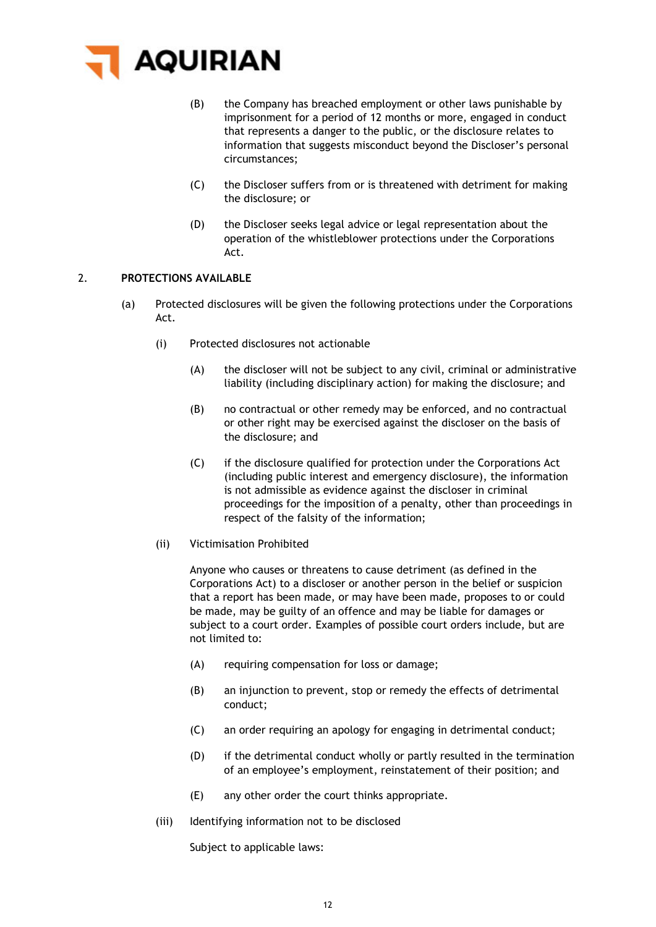

- (B) the Company has breached employment or other laws punishable by imprisonment for a period of 12 months or more, engaged in conduct that represents a danger to the public, or the disclosure relates to information that suggests misconduct beyond the Discloser's personal circumstances;
- (C) the Discloser suffers from or is threatened with detriment for making the disclosure; or
- (D) the Discloser seeks legal advice or legal representation about the operation of the whistleblower protections under the Corporations Act.

# 2. **PROTECTIONS AVAILABLE**

- (a) Protected disclosures will be given the following protections under the Corporations Act.
	- (i) Protected disclosures not actionable
		- (A) the discloser will not be subject to any civil, criminal or administrative liability (including disciplinary action) for making the disclosure; and
		- (B) no contractual or other remedy may be enforced, and no contractual or other right may be exercised against the discloser on the basis of the disclosure; and
		- (C) if the disclosure qualified for protection under the Corporations Act (including public interest and emergency disclosure), the information is not admissible as evidence against the discloser in criminal proceedings for the imposition of a penalty, other than proceedings in respect of the falsity of the information;
	- (ii) Victimisation Prohibited

Anyone who causes or threatens to cause detriment (as defined in the Corporations Act) to a discloser or another person in the belief or suspicion that a report has been made, or may have been made, proposes to or could be made, may be guilty of an offence and may be liable for damages or subject to a court order. Examples of possible court orders include, but are not limited to:

- (A) requiring compensation for loss or damage;
- (B) an injunction to prevent, stop or remedy the effects of detrimental conduct;
- (C) an order requiring an apology for engaging in detrimental conduct;
- (D) if the detrimental conduct wholly or partly resulted in the termination of an employee's employment, reinstatement of their position; and
- (E) any other order the court thinks appropriate.
- (iii) Identifying information not to be disclosed

Subject to applicable laws: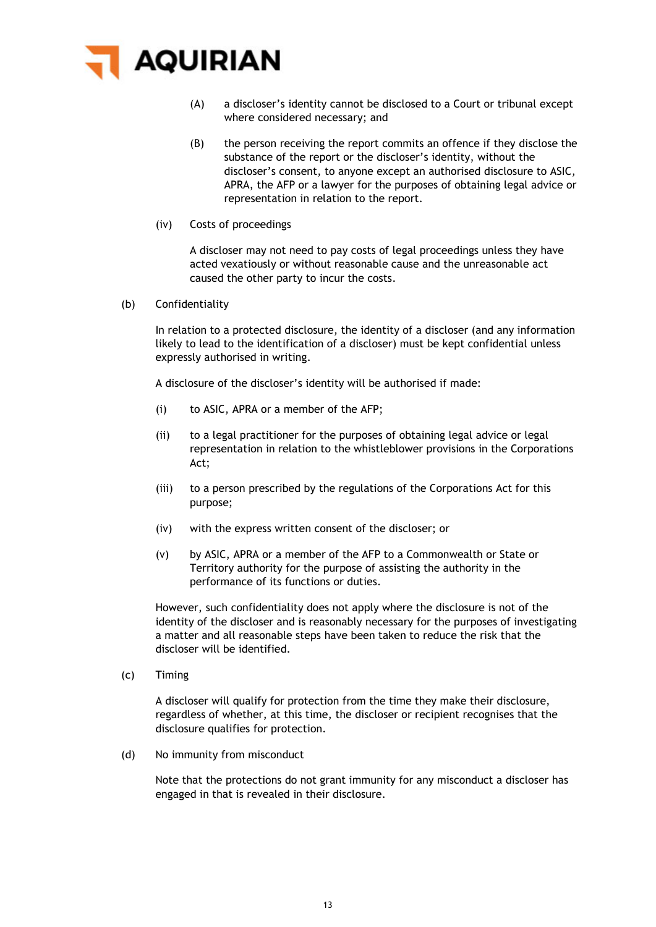

- (A) a discloser's identity cannot be disclosed to a Court or tribunal except where considered necessary; and
- (B) the person receiving the report commits an offence if they disclose the substance of the report or the discloser's identity, without the discloser's consent, to anyone except an authorised disclosure to ASIC, APRA, the AFP or a lawyer for the purposes of obtaining legal advice or representation in relation to the report.
- (iv) Costs of proceedings

A discloser may not need to pay costs of legal proceedings unless they have acted vexatiously or without reasonable cause and the unreasonable act caused the other party to incur the costs.

(b) Confidentiality

In relation to a protected disclosure, the identity of a discloser (and any information likely to lead to the identification of a discloser) must be kept confidential unless expressly authorised in writing.

A disclosure of the discloser's identity will be authorised if made:

- (i) to ASIC, APRA or a member of the AFP;
- (ii) to a legal practitioner for the purposes of obtaining legal advice or legal representation in relation to the whistleblower provisions in the Corporations Act;
- (iii) to a person prescribed by the regulations of the Corporations Act for this purpose;
- (iv) with the express written consent of the discloser; or
- (v) by ASIC, APRA or a member of the AFP to a Commonwealth or State or Territory authority for the purpose of assisting the authority in the performance of its functions or duties.

However, such confidentiality does not apply where the disclosure is not of the identity of the discloser and is reasonably necessary for the purposes of investigating a matter and all reasonable steps have been taken to reduce the risk that the discloser will be identified.

(c) Timing

A discloser will qualify for protection from the time they make their disclosure, regardless of whether, at this time, the discloser or recipient recognises that the disclosure qualifies for protection.

(d) No immunity from misconduct

Note that the protections do not grant immunity for any misconduct a discloser has engaged in that is revealed in their disclosure.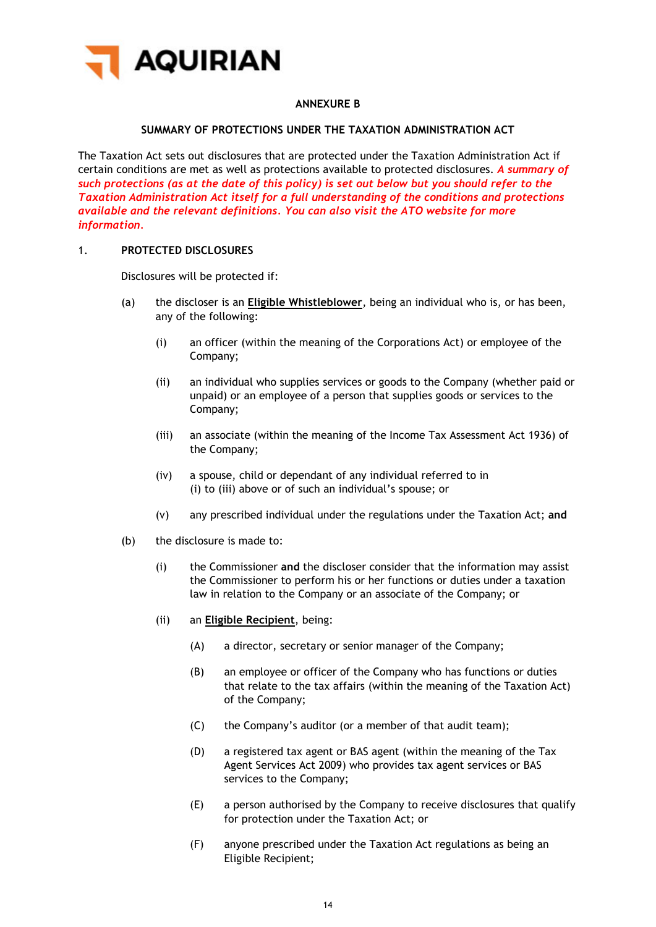

# **ANNEXURE B**

## **SUMMARY OF PROTECTIONS UNDER THE TAXATION ADMINISTRATION ACT**

The Taxation Act sets out disclosures that are protected under the Taxation Administration Act if certain conditions are met as well as protections available to protected disclosures. *A summary of such protections (as at the date of this policy) is set out below but you should refer to the Taxation Administration Act itself for a full understanding of the conditions and protections available and the relevant definitions. You can also visit the ATO website for more information.*

#### 1. **PROTECTED DISCLOSURES**

Disclosures will be protected if:

- <span id="page-13-0"></span>(a) the discloser is an **Eligible Whistleblower**, being an individual who is, or has been, any of the following:
	- (i) an officer (within the meaning of the Corporations Act) or employee of the Company;
	- (ii) an individual who supplies services or goods to the Company (whether paid or unpaid) or an employee of a person that supplies goods or services to the Company;
	- (iii) an associate (within the meaning of the Income Tax Assessment Act 1936) of the Company;
	- (iv) a spouse, child or dependant of any individual referred to in [\(i\)](#page-13-0) to [\(iii\)](#page-13-1) above or of such an individual's spouse; or
	- (v) any prescribed individual under the regulations under the Taxation Act; **and**
- <span id="page-13-1"></span>(b) the disclosure is made to:
	- (i) the Commissioner **and** the discloser consider that the information may assist the Commissioner to perform his or her functions or duties under a taxation law in relation to the Company or an associate of the Company; or
	- (ii) an **Eligible Recipient**, being:
		- (A) a director, secretary or senior manager of the Company;
		- (B) an employee or officer of the Company who has functions or duties that relate to the tax affairs (within the meaning of the Taxation Act) of the Company;
		- (C) the Company's auditor (or a member of that audit team);
		- (D) a registered tax agent or BAS agent (within the meaning of the Tax Agent Services Act 2009) who provides tax agent services or BAS services to the Company;
		- (E) a person authorised by the Company to receive disclosures that qualify for protection under the Taxation Act; or
		- (F) anyone prescribed under the Taxation Act regulations as being an Eligible Recipient;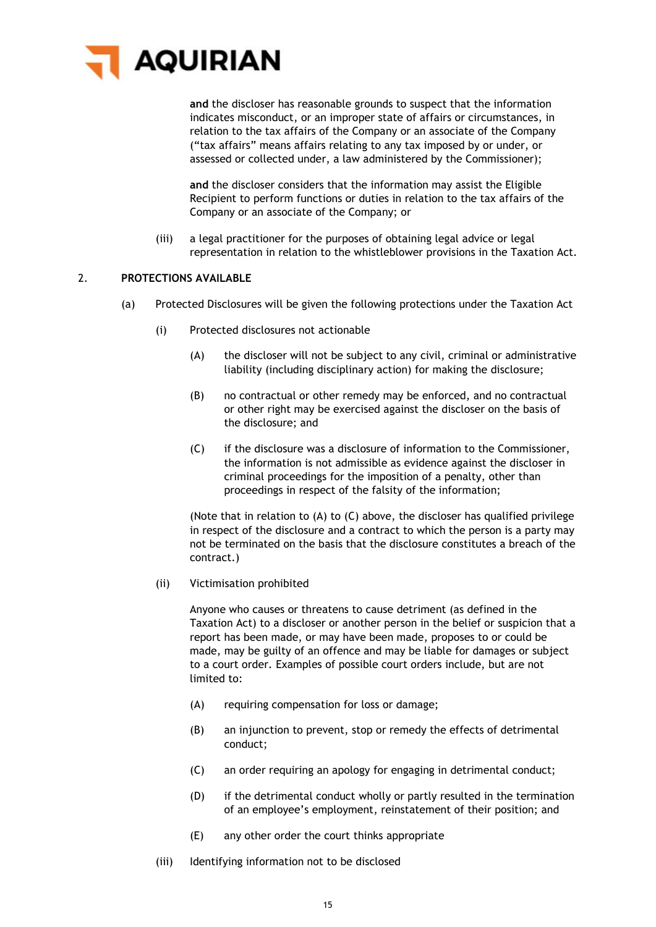

**and** the discloser has reasonable grounds to suspect that the information indicates misconduct, or an improper state of affairs or circumstances, in relation to the tax affairs of the Company or an associate of the Company ("tax affairs" means affairs relating to any tax imposed by or under, or assessed or collected under, a law administered by the Commissioner);

**and** the discloser considers that the information may assist the Eligible Recipient to perform functions or duties in relation to the tax affairs of the Company or an associate of the Company; or

(iii) a legal practitioner for the purposes of obtaining legal advice or legal representation in relation to the whistleblower provisions in the Taxation Act.

# 2. **PROTECTIONS AVAILABLE**

- <span id="page-14-0"></span>(a) Protected Disclosures will be given the following protections under the Taxation Act
	- (i) Protected disclosures not actionable
		- (A) the discloser will not be subject to any civil, criminal or administrative liability (including disciplinary action) for making the disclosure;
		- (B) no contractual or other remedy may be enforced, and no contractual or other right may be exercised against the discloser on the basis of the disclosure; and
		- (C) if the disclosure was a disclosure of information to the Commissioner, the information is not admissible as evidence against the discloser in criminal proceedings for the imposition of a penalty, other than proceedings in respect of the falsity of the information;

<span id="page-14-1"></span>(Note that in relation to [\(A\)](#page-14-0) to [\(C\)](#page-14-1) above, the discloser has qualified privilege in respect of the disclosure and a contract to which the person is a party may not be terminated on the basis that the disclosure constitutes a breach of the contract.)

#### (ii) Victimisation prohibited

Anyone who causes or threatens to cause detriment (as defined in the Taxation Act) to a discloser or another person in the belief or suspicion that a report has been made, or may have been made, proposes to or could be made, may be guilty of an offence and may be liable for damages or subject to a court order. Examples of possible court orders include, but are not limited to:

- (A) requiring compensation for loss or damage;
- (B) an injunction to prevent, stop or remedy the effects of detrimental conduct;
- (C) an order requiring an apology for engaging in detrimental conduct;
- (D) if the detrimental conduct wholly or partly resulted in the termination of an employee's employment, reinstatement of their position; and
- (E) any other order the court thinks appropriate
- (iii) Identifying information not to be disclosed